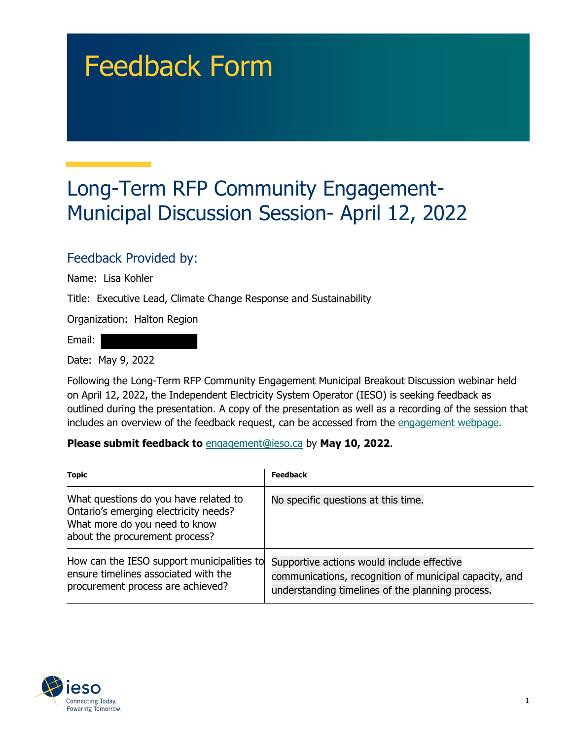# Feedback Form

## Long-Term RFP Community Engagement-Municipal Discussion Session- April 12, 2022

#### Feedback Provided by:

Name: Lisa Kohler

Title: Executive Lead, Climate Change Response and Sustainability

Organization: Halton Region

Email:

Date: May 9, 2022

Following the Long-Term RFP Community Engagement Municipal Breakout Discussion webinar held on April 12, 2022, the Independent Electricity System Operator (IESO) is seeking feedback as outlined during the presentation. A copy of the presentation as well as a recording of the session that includes an overview of the feedback request, can be accessed from the [engagement webpage.](https://www.ieso.ca/en/Sector-Participants/Engagement-Initiatives/Engagements/Long-Term-RFP-Community-Engagement)

#### **Please submit feedback to** engagement@ieso.ca by **May 10, 2022**.

| <b>Topic</b>                                                                                                                                      | Feedback                                                                                                                                                 |
|---------------------------------------------------------------------------------------------------------------------------------------------------|----------------------------------------------------------------------------------------------------------------------------------------------------------|
| What questions do you have related to<br>Ontario's emerging electricity needs?<br>What more do you need to know<br>about the procurement process? | No specific questions at this time.                                                                                                                      |
| How can the IESO support municipalities to<br>ensure timelines associated with the<br>procurement process are achieved?                           | Supportive actions would include effective<br>communications, recognition of municipal capacity, and<br>understanding timelines of the planning process. |